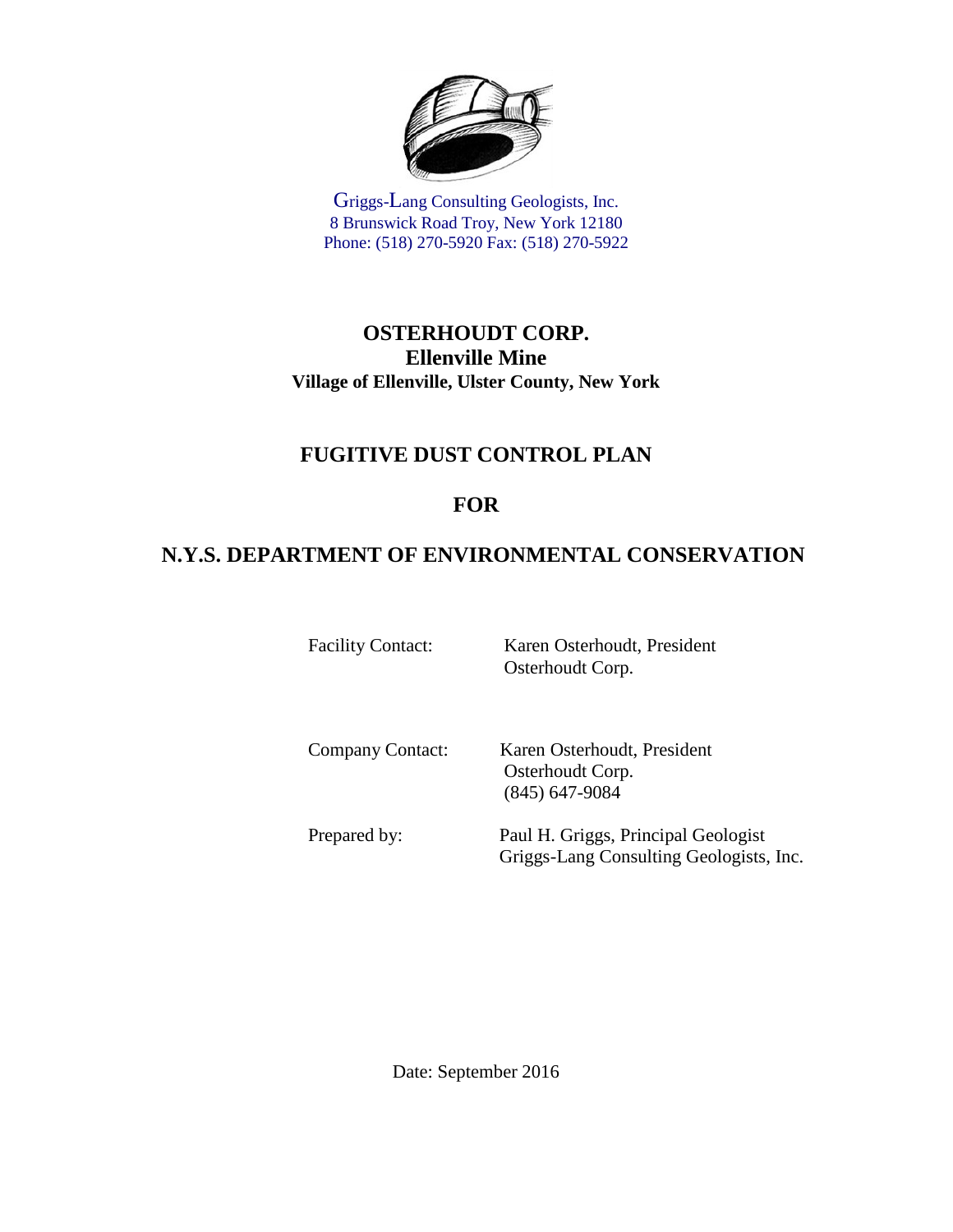

Griggs-Lang Consulting Geologists, Inc. 8 Brunswick Road Troy, New York 12180 Phone: (518) 270-5920 Fax: (518) 270-5922

#### **OSTERHOUDT CORP. Ellenville Mine Village of Ellenville, Ulster County, New York**

# **FUGITIVE DUST CONTROL PLAN**

# **FOR**

# **N.Y.S. DEPARTMENT OF ENVIRONMENTAL CONSERVATION**

Facility Contact: Karen Osterhoudt, President Osterhoudt Corp.

Company Contact: Karen Osterhoudt, President Osterhoudt Corp. (845) 647-9084

Prepared by: Paul H. Griggs, Principal Geologist Griggs-Lang Consulting Geologists, Inc.

Date: September 2016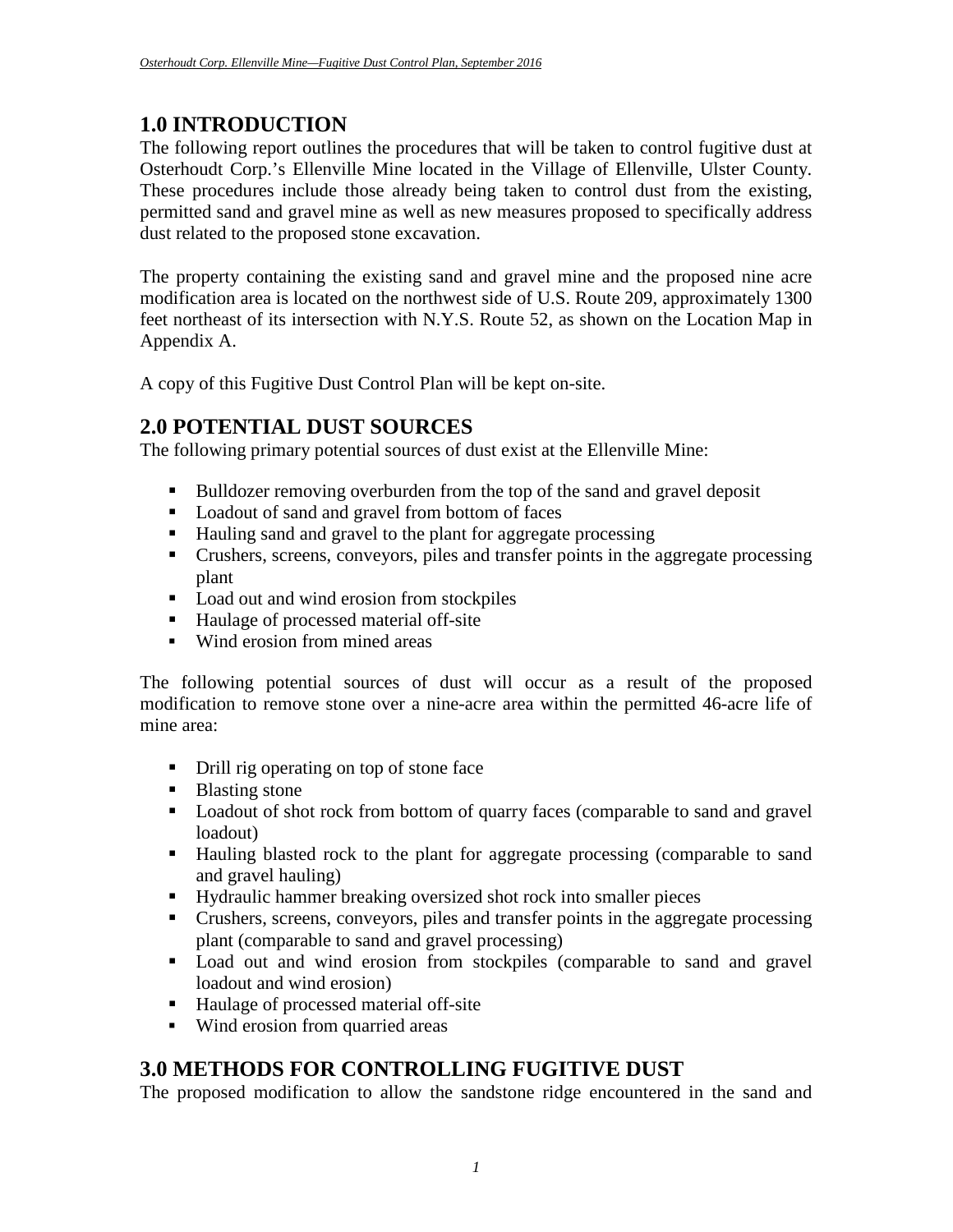#### **1.0 INTRODUCTION**

The following report outlines the procedures that will be taken to control fugitive dust at Osterhoudt Corp.'s Ellenville Mine located in the Village of Ellenville, Ulster County. These procedures include those already being taken to control dust from the existing, permitted sand and gravel mine as well as new measures proposed to specifically address dust related to the proposed stone excavation.

The property containing the existing sand and gravel mine and the proposed nine acre modification area is located on the northwest side of U.S. Route 209, approximately 1300 feet northeast of its intersection with N.Y.S. Route 52, as shown on the Location Map in Appendix A.

A copy of this Fugitive Dust Control Plan will be kept on-site.

# **2.0 POTENTIAL DUST SOURCES**

The following primary potential sources of dust exist at the Ellenville Mine:

- Bulldozer removing overburden from the top of the sand and gravel deposit
- **Loadout of sand and gravel from bottom of faces**
- Hauling sand and gravel to the plant for aggregate processing
- Crushers, screens, conveyors, piles and transfer points in the aggregate processing plant
- Load out and wind erosion from stockpiles
- Haulage of processed material off-site
- Wind erosion from mined areas

The following potential sources of dust will occur as a result of the proposed modification to remove stone over a nine-acre area within the permitted 46-acre life of mine area:

- Drill rig operating on top of stone face
- Blasting stone
- **Loadout of shot rock from bottom of quarry faces (comparable to sand and gravel)** loadout)
- Hauling blasted rock to the plant for aggregate processing (comparable to sand and gravel hauling)
- Hydraulic hammer breaking oversized shot rock into smaller pieces
- Crushers, screens, conveyors, piles and transfer points in the aggregate processing plant (comparable to sand and gravel processing)
- **Load out and wind erosion from stockpiles (comparable to sand and gravel** loadout and wind erosion)
- Haulage of processed material off-site
- Wind erosion from quarried areas

# **3.0 METHODS FOR CONTROLLING FUGITIVE DUST**

The proposed modification to allow the sandstone ridge encountered in the sand and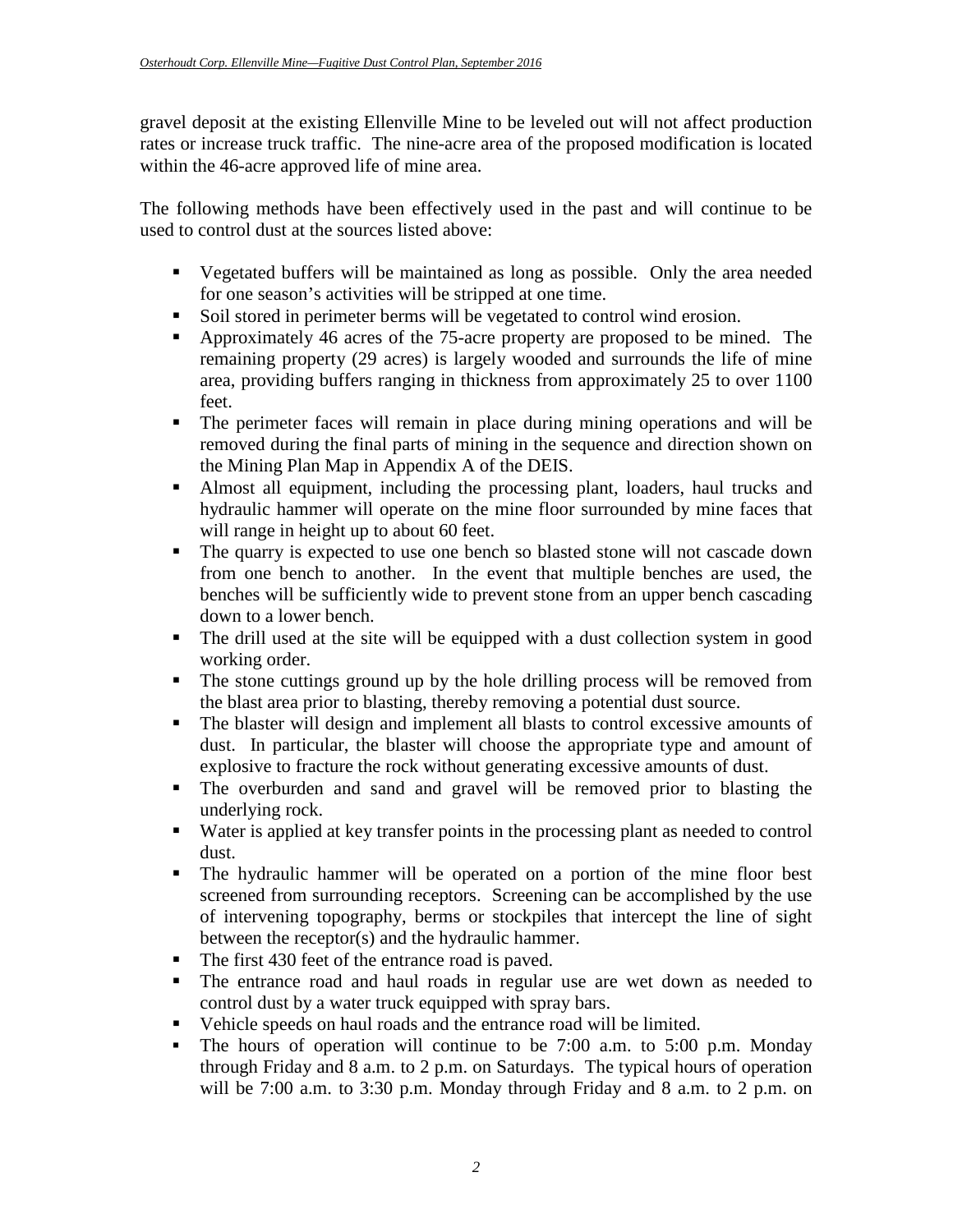gravel deposit at the existing Ellenville Mine to be leveled out will not affect production rates or increase truck traffic. The nine-acre area of the proposed modification is located within the 46-acre approved life of mine area.

The following methods have been effectively used in the past and will continue to be used to control dust at the sources listed above:

- Vegetated buffers will be maintained as long as possible. Only the area needed for one season's activities will be stripped at one time.
- Soil stored in perimeter berms will be vegetated to control wind erosion.
- Approximately 46 acres of the 75-acre property are proposed to be mined. The remaining property (29 acres) is largely wooded and surrounds the life of mine area, providing buffers ranging in thickness from approximately 25 to over 1100 feet.
- The perimeter faces will remain in place during mining operations and will be removed during the final parts of mining in the sequence and direction shown on the Mining Plan Map in Appendix A of the DEIS.
- Almost all equipment, including the processing plant, loaders, haul trucks and hydraulic hammer will operate on the mine floor surrounded by mine faces that will range in height up to about 60 feet.
- The quarry is expected to use one bench so blasted stone will not cascade down from one bench to another. In the event that multiple benches are used, the benches will be sufficiently wide to prevent stone from an upper bench cascading down to a lower bench.
- The drill used at the site will be equipped with a dust collection system in good working order.
- The stone cuttings ground up by the hole drilling process will be removed from the blast area prior to blasting, thereby removing a potential dust source.
- The blaster will design and implement all blasts to control excessive amounts of dust. In particular, the blaster will choose the appropriate type and amount of explosive to fracture the rock without generating excessive amounts of dust.
- The overburden and sand and gravel will be removed prior to blasting the underlying rock.
- Water is applied at key transfer points in the processing plant as needed to control dust.
- The hydraulic hammer will be operated on a portion of the mine floor best screened from surrounding receptors. Screening can be accomplished by the use of intervening topography, berms or stockpiles that intercept the line of sight between the receptor(s) and the hydraulic hammer.
- The first 430 feet of the entrance road is paved.
- The entrance road and haul roads in regular use are wet down as needed to control dust by a water truck equipped with spray bars.
- Vehicle speeds on haul roads and the entrance road will be limited.
- The hours of operation will continue to be 7:00 a.m. to 5:00 p.m. Monday through Friday and 8 a.m. to 2 p.m. on Saturdays. The typical hours of operation will be 7:00 a.m. to 3:30 p.m. Monday through Friday and 8 a.m. to 2 p.m. on